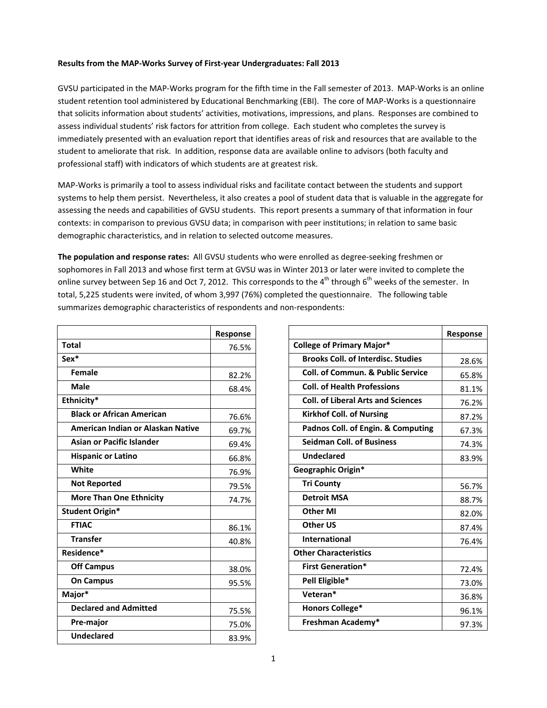## **Results from the MAP-Works Survey of First-year Undergraduates: Fall 2013**

GVSU participated in the MAP-Works program for the fifth time in the Fall semester of 2013. MAP-Works is an online student retention tool administered by Educational Benchmarking (EBI). The core of MAP-Works is a questionnaire that solicits information about students' activities, motivations, impressions, and plans. Responses are combined to assess individual students' risk factors for attrition from college. Each student who completes the survey is immediately presented with an evaluation report that identifies areas of risk and resources that are available to the student to ameliorate that risk. In addition, response data are available online to advisors (both faculty and professional staff) with indicators of which students are at greatest risk.

MAP-Works is primarily a tool to assess individual risks and facilitate contact between the students and support systems to help them persist. Nevertheless, it also creates a pool of student data that is valuable in the aggregate for assessing the needs and capabilities of GVSU students. This report presents a summary of that information in four contexts: in comparison to previous GVSU data; in comparison with peer institutions; in relation to same basic demographic characteristics, and in relation to selected outcome measures.

**The population and response rates:** All GVSU students who were enrolled as degree-seeking freshmen or sophomores in Fall 2013 and whose first term at GVSU was in Winter 2013 or later were invited to complete the online survey between Sep 16 and Oct 7, 2012. This corresponds to the 4<sup>th</sup> through 6<sup>th</sup> weeks of the semester. In total, 5,225 students were invited, of whom 3,997 (76%) completed the questionnaire. The following table summarizes demographic characteristics of respondents and non-respondents:

|                                   | Response |
|-----------------------------------|----------|
| <b>Total</b>                      | 76.5%    |
| Sex*                              |          |
| Female                            | 82.2%    |
| Male                              | 68.4%    |
| Ethnicity*                        |          |
| <b>Black or African American</b>  | 76.6%    |
| American Indian or Alaskan Native | 69.7%    |
| <b>Asian or Pacific Islander</b>  | 69.4%    |
| <b>Hispanic or Latino</b>         | 66.8%    |
| White                             | 76.9%    |
| <b>Not Reported</b>               | 79.5%    |
| <b>More Than One Ethnicity</b>    | 74.7%    |
| <b>Student Origin*</b>            |          |
| <b>FTIAC</b>                      | 86.1%    |
| <b>Transfer</b>                   | 40.8%    |
| Residence*                        |          |
| <b>Off Campus</b>                 | 38.0%    |
| <b>On Campus</b>                  | 95.5%    |
| Major*                            |          |
| <b>Declared and Admitted</b>      | 75.5%    |
| Pre-major                         | 75.0%    |
| <b>Undeclared</b>                 | 83.9%    |

|                                              | Response |
|----------------------------------------------|----------|
| <b>College of Primary Major*</b>             |          |
| <b>Brooks Coll. of Interdisc. Studies</b>    | 28.6%    |
| <b>Coll. of Commun. &amp; Public Service</b> | 65.8%    |
| <b>Coll. of Health Professions</b>           | 81.1%    |
| <b>Coll. of Liberal Arts and Sciences</b>    | 76.2%    |
| <b>Kirkhof Coll. of Nursing</b>              | 87.2%    |
| Padnos Coll. of Engin. & Computing           | 67.3%    |
| <b>Seidman Coll. of Business</b>             | 74.3%    |
| <b>Undeclared</b>                            | 83.9%    |
| Geographic Origin*                           |          |
| <b>Tri County</b>                            | 56.7%    |
| <b>Detroit MSA</b>                           | 88.7%    |
| <b>Other MI</b>                              | 82.0%    |
| <b>Other US</b>                              | 87.4%    |
| International                                | 76.4%    |
| <b>Other Characteristics</b>                 |          |
| <b>First Generation*</b>                     | 72.4%    |
| Pell Eligible*                               | 73.0%    |
| Veteran*                                     | 36.8%    |
| <b>Honors College*</b>                       | 96.1%    |
| Freshman Academy*                            | 97.3%    |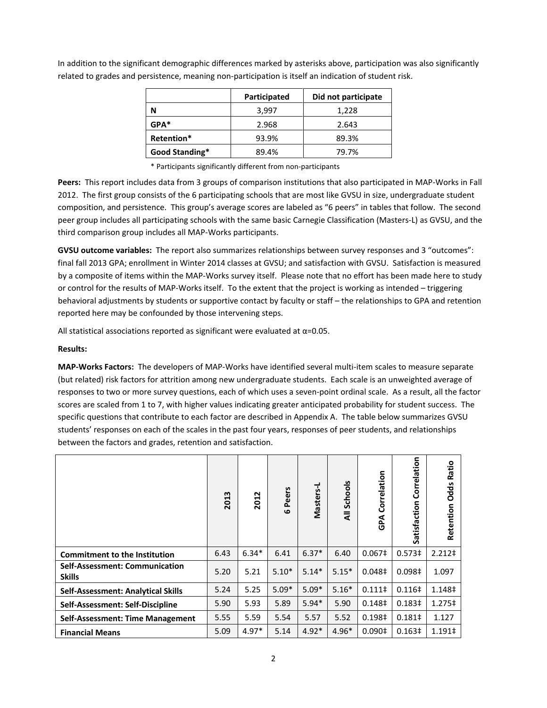|                | Participated | Did not participate |
|----------------|--------------|---------------------|
| N              | 3,997        | 1,228               |
| $GPA*$         | 2.968        | 2.643               |
| Retention*     | 93.9%        | 89.3%               |
| Good Standing* | 89.4%        | 79.7%               |

In addition to the significant demographic differences marked by asterisks above, participation was also significantly related to grades and persistence, meaning non-participation is itself an indication of student risk.

\* Participants significantly different from non-participants

**Peers:** This report includes data from 3 groups of comparison institutions that also participated in MAP-Works in Fall 2012. The first group consists of the 6 participating schools that are most like GVSU in size, undergraduate student composition, and persistence. This group's average scores are labeled as "6 peers" in tables that follow. The second peer group includes all participating schools with the same basic Carnegie Classification (Masters-L) as GVSU, and the third comparison group includes all MAP-Works participants.

**GVSU outcome variables:** The report also summarizes relationships between survey responses and 3 "outcomes": final fall 2013 GPA; enrollment in Winter 2014 classes at GVSU; and satisfaction with GVSU. Satisfaction is measured by a composite of items within the MAP-Works survey itself. Please note that no effort has been made here to study or control for the results of MAP-Works itself. To the extent that the project is working as intended – triggering behavioral adjustments by students or supportive contact by faculty or staff – the relationships to GPA and retention reported here may be confounded by those intervening steps.

All statistical associations reported as significant were evaluated at  $\alpha$ =0.05.

## **Results:**

**MAP-Works Factors:** The developers of MAP-Works have identified several multi-item scales to measure separate (but related) risk factors for attrition among new undergraduate students. Each scale is an unweighted average of responses to two or more survey questions, each of which uses a seven-point ordinal scale. As a result, all the factor scores are scaled from 1 to 7, with higher values indicating greater anticipated probability for student success. The specific questions that contribute to each factor are described in Appendix A. The table below summarizes GVSU students' responses on each of the scales in the past four years, responses of peer students, and relationships between the factors and grades, retention and satisfaction.

|                                                        | 2013 | 2012    | Peers<br>$\mathbf{o}$ | Masters-L | Schools<br>₹ | Correlation<br>GPA | Correlation<br>Satisfaction | Ratio<br><b>Retention Odds</b> |
|--------------------------------------------------------|------|---------|-----------------------|-----------|--------------|--------------------|-----------------------------|--------------------------------|
| <b>Commitment to the Institution</b>                   | 6.43 | $6.34*$ | 6.41                  | $6.37*$   | 6.40         | 0.067 <sup>‡</sup> | 0.573 <sup>‡</sup>          | 2.212 <sup>‡</sup>             |
| <b>Self-Assessment: Communication</b><br><b>Skills</b> | 5.20 | 5.21    | $5.10*$               | $5.14*$   | $5.15*$      | 0.048 <sup>‡</sup> | 0.098 <sup>‡</sup>          | 1.097                          |
| <b>Self-Assessment: Analytical Skills</b>              | 5.24 | 5.25    | $5.09*$               | $5.09*$   | $5.16*$      | $0.111 \dagger$    | 0.116 <sup>‡</sup>          | 1.148‡                         |
| Self-Assessment: Self-Discipline                       | 5.90 | 5.93    | 5.89                  | $5.94*$   | 5.90         | 0.148 <sup>‡</sup> | 0.183 <sup>‡</sup>          | $1.275 \pm$                    |
| Self-Assessment: Time Management                       | 5.55 | 5.59    | 5.54                  | 5.57      | 5.52         | 0.198‡             | $0.181 \pm$                 | 1.127                          |
| <b>Financial Means</b>                                 | 5.09 | $4.97*$ | 5.14                  | $4.92*$   | $4.96*$      | 0.090 <sup>‡</sup> | 0.163 <sup>‡</sup>          | 1.191‡                         |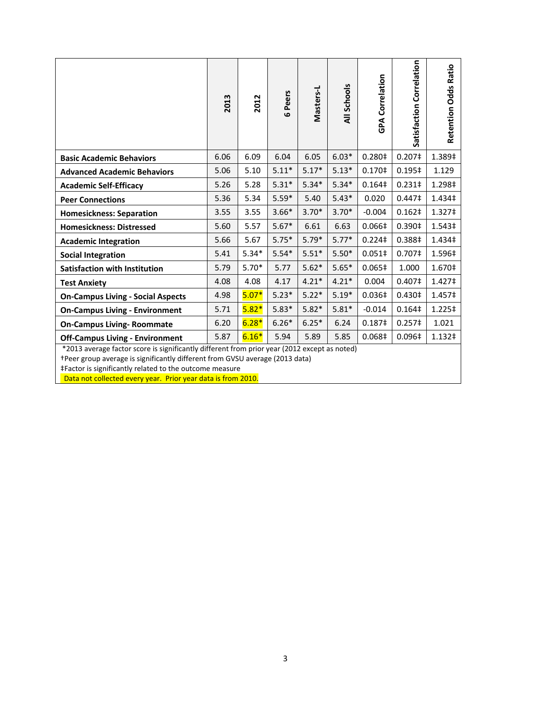|                                                                                              | 2013 | 2012    | 6 Peers | Masters-L | All Schools | <b>GPA Correlation</b> | Satisfaction Correlation | <b>Retention Odds Ratio</b> |
|----------------------------------------------------------------------------------------------|------|---------|---------|-----------|-------------|------------------------|--------------------------|-----------------------------|
| <b>Basic Academic Behaviors</b>                                                              | 6.06 | 6.09    | 6.04    | 6.05      | $6.03*$     | 0.280‡                 | 0.207‡                   | 1.389‡                      |
| <b>Advanced Academic Behaviors</b>                                                           | 5.06 | 5.10    | $5.11*$ | $5.17*$   | $5.13*$     | 0.170‡                 | 0.195‡                   | 1.129                       |
| <b>Academic Self-Efficacy</b>                                                                | 5.26 | 5.28    | $5.31*$ | $5.34*$   | $5.34*$     | 0.164 <sup>‡</sup>     | $0.231 \;$               | 1.298‡                      |
| <b>Peer Connections</b>                                                                      | 5.36 | 5.34    | $5.59*$ | 5.40      | $5.43*$     | 0.020                  | 0.447 <sup>‡</sup>       | 1.434‡                      |
| <b>Homesickness: Separation</b>                                                              | 3.55 | 3.55    | $3.66*$ | $3.70*$   | $3.70*$     | $-0.004$               | 0.162 <sup>‡</sup>       | 1.327‡                      |
| <b>Homesickness: Distressed</b>                                                              | 5.60 | 5.57    | $5.67*$ | 6.61      | 6.63        | 0.066‡                 | 0.390‡                   | 1.543‡                      |
| <b>Academic Integration</b>                                                                  | 5.66 | 5.67    | $5.75*$ | $5.79*$   | $5.77*$     | $0.224$ ‡              | 0.388‡                   | 1.434‡                      |
| <b>Social Integration</b>                                                                    | 5.41 | $5.34*$ | $5.54*$ | $5.51*$   | $5.50*$     | $0.051\#$              | 0.707 <sup>‡</sup>       | 1.596‡                      |
| <b>Satisfaction with Institution</b>                                                         | 5.79 | $5.70*$ | 5.77    | $5.62*$   | $5.65*$     | 0.065‡                 | 1.000                    | 1.670‡                      |
| <b>Test Anxiety</b>                                                                          | 4.08 | 4.08    | 4.17    | $4.21*$   | $4.21*$     | 0.004                  | 0.407‡                   | 1.427‡                      |
| <b>On-Campus Living - Social Aspects</b>                                                     | 4.98 | $5.07*$ | $5.23*$ | $5.22*$   | $5.19*$     | 0.036‡                 | 0.430‡                   | 1.457‡                      |
| <b>On-Campus Living - Environment</b>                                                        | 5.71 | $5.82*$ | $5.83*$ | $5.82*$   | $5.81*$     | $-0.014$               | 0.164‡                   | 1.225‡                      |
| <b>On-Campus Living- Roommate</b>                                                            | 6.20 | $6.28*$ | $6.26*$ | $6.25*$   | 6.24        | 0.187‡                 | 0.257 <sup>‡</sup>       | 1.021                       |
| <b>Off-Campus Living - Environment</b>                                                       | 5.87 | $6.16*$ | 5.94    | 5.89      | 5.85        | 0.068‡                 | 0.096‡                   | 1.132‡                      |
| *2013 average factor score is significantly different from prior year (2012 except as noted) |      |         |         |           |             |                        |                          |                             |

†Peer group average is significantly different from GVSU average (2013 data)

‡Factor is significantly related to the outcome measure

Data not collected every year. Prior year data is from 2010.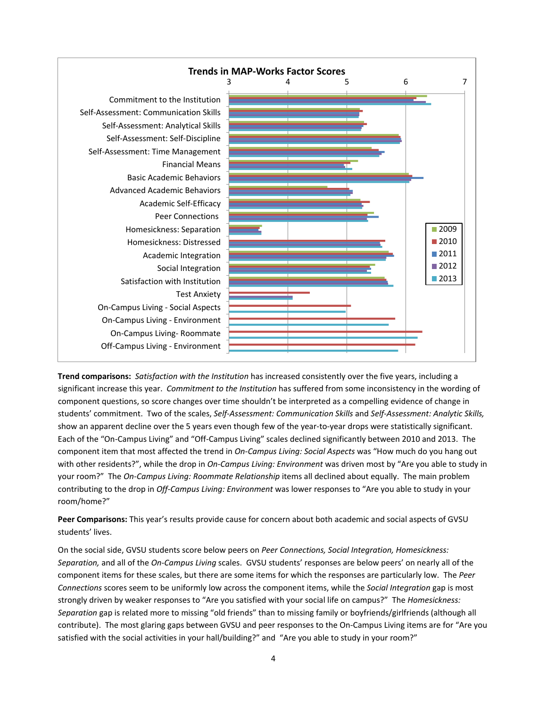

**Trend comparisons:** *Satisfaction with the Institution* has increased consistently over the five years, including a significant increase this year. *Commitment to the Institution* has suffered from some inconsistency in the wording of component questions, so score changes over time shouldn't be interpreted as a compelling evidence of change in students' commitment. Two of the scales, *Self-Assessment: Communication Skills* and *Self-Assessment: Analytic Skills,* show an apparent decline over the 5 years even though few of the year-to-year drops were statistically significant. Each of the "On-Campus Living" and "Off-Campus Living" scales declined significantly between 2010 and 2013. The component item that most affected the trend in *On-Campus Living: Social Aspects* was "How much do you hang out with other residents?", while the drop in *On-Campus Living: Environment* was driven most by "Are you able to study in your room?" The *On-Campus Living: Roommate Relationship* items all declined about equally. The main problem contributing to the drop in *Off-Campus Living: Environment* was lower responses to "Are you able to study in your room/home?"

**Peer Comparisons:** This year's results provide cause for concern about both academic and social aspects of GVSU students' lives.

On the social side, GVSU students score below peers on *Peer Connections, Social Integration, Homesickness: Separation,* and all of the *On-Campus Living* scales. GVSU students' responses are below peers' on nearly all of the component items for these scales, but there are some items for which the responses are particularly low. The *Peer Connections* scores seem to be uniformly low across the component items, while the *Social Integration* gap is most strongly driven by weaker responses to "Are you satisfied with your social life on campus?" The *Homesickness: Separation* gap is related more to missing "old friends" than to missing family or boyfriends/girlfriends (although all contribute). The most glaring gaps between GVSU and peer responses to the On-Campus Living items are for "Are you satisfied with the social activities in your hall/building?" and "Are you able to study in your room?"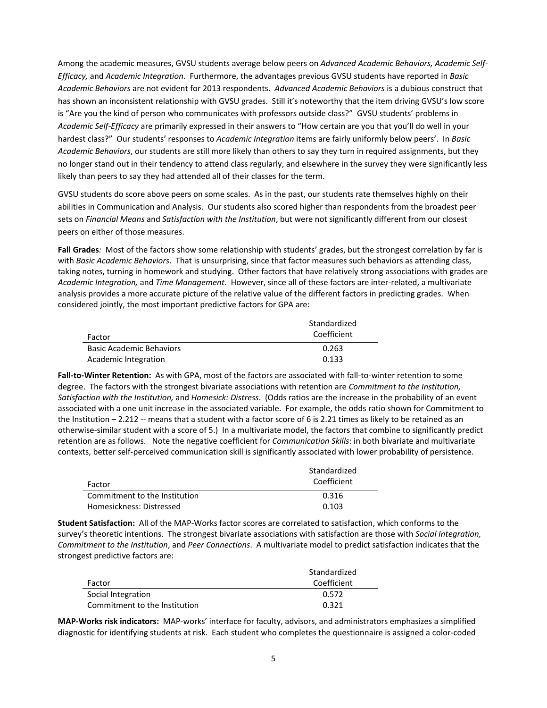Among the academic measures, GVSU students average below peers on *Advanced Academic Behaviors, Academic Self-Efficacy,* and *Academic Integration*. Furthermore, the advantages previous GVSU students have reported in *Basic Academic Behaviors* are not evident for 2013 respondents. *Advanced Academic Behaviors* is a dubious construct that has shown an inconsistent relationship with GVSU grades. Still it's noteworthy that the item driving GVSU's low score is "Are you the kind of person who communicates with professors outside class?" GVSU students' problems in *Academic Self-Efficacy* are primarily expressed in their answers to "How certain are you that you'll do well in your hardest class?" Our students' responses to *Academic Integration* items are fairly uniformly below peers'. In *Basic Academic Behaviors*, our students are still more likely than others to say they turn in required assignments, but they no longer stand out in their tendency to attend class regularly, and elsewhere in the survey they were significantly less likely than peers to say they had attended all of their classes for the term.

GVSU students do score above peers on some scales. As in the past, our students rate themselves highly on their abilities in Communication and Analysis. Our students also scored higher than respondents from the broadest peer sets on *Financial Means* and *Satisfaction with the Institution*, but were not significantly different from our closest peers on either of those measures.

**Fall Grades***:* Most of the factors show some relationship with students' grades, but the strongest correlation by far is with *Basic Academic Behaviors*. That is unsurprising, since that factor measures such behaviors as attending class, taking notes, turning in homework and studying. Other factors that have relatively strong associations with grades are *Academic Integration,* and *Time Management*. However, since all of these factors are inter-related, a multivariate analysis provides a more accurate picture of the relative value of the different factors in predicting grades. When considered jointly, the most important predictive factors for GPA are:

| Factor                          | Standardized<br>Coefficient |
|---------------------------------|-----------------------------|
| <b>Basic Academic Behaviors</b> | 0.263                       |
| Academic Integration            | 0.133                       |

**Fall-to-Winter Retention:** As with GPA, most of the factors are associated with fall-to-winter retention to some degree. The factors with the strongest bivariate associations with retention are *Commitment to the Institution, Satisfaction with the Institution,* and *Homesick: Distress*. (Odds ratios are the increase in the probability of an event associated with a one unit increase in the associated variable. For example, the odds ratio shown for Commitment to the Institution – 2.212 -- means that a student with a factor score of 6 is 2.21 times as likely to be retained as an otherwise-similar student with a score of 5.) In a multivariate model, the factors that combine to significantly predict retention are as follows. Note the negative coefficient for *Communication Skills*: in both bivariate and multivariate contexts, better self-perceived communication skill is significantly associated with lower probability of persistence.

| Factor                        | Standardized<br>Coefficient |
|-------------------------------|-----------------------------|
| Commitment to the Institution | 0.316                       |
| Homesickness: Distressed      | በ 1በ3                       |

**Student Satisfaction:** All of the MAP-Works factor scores are correlated to satisfaction, which conforms to the survey's theoretic intentions. The strongest bivariate associations with satisfaction are those with *Social Integration, Commitment to the Institution*, and *Peer Connections*. A multivariate model to predict satisfaction indicates that the strongest predictive factors are:

|                               | Standardized |
|-------------------------------|--------------|
| Factor                        | Coefficient  |
| Social Integration            | 0.572        |
| Commitment to the Institution | 0.321        |

**MAP-Works risk indicators:** MAP-works' interface for faculty, advisors, and administrators emphasizes a simplified diagnostic for identifying students at risk. Each student who completes the questionnaire is assigned a color-coded